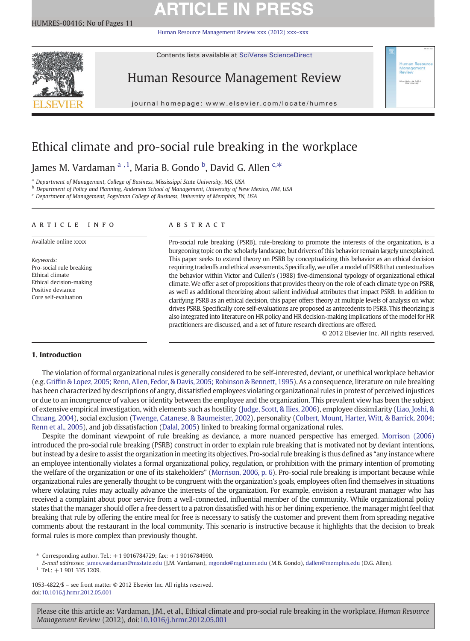# **ARTICLE IN PRESS**

[Human Resource Management Review xxx \(2012\) xxx](http://dx.doi.org/10.1016/j.hrmr.2012.05.001)–xxx



Contents lists available at SciVerse ScienceDirect

## Human Resource Management Review

journal homepage: www.elsevier.com/locate/humres

## Ethical climate and pro-social rule breaking in the workplace

James M. Vardaman <sup>a , 1</sup>, Maria B. Gondo <sup>b</sup>, David G. Allen <sup>c,\*</sup>

<sup>a</sup> Department of Management, College of Business, Mississippi State University, MS, USA

<sup>b</sup> Department of Policy and Planning, Anderson School of Management, University of New Mexico, NM, USA

<sup>c</sup> Department of Management, Fogelman College of Business, University of Memphis, TN, USA

### article info abstract

Keywords: Pro‐social rule breaking Ethical climate Ethical decision-making Positive deviance Core self-evaluation

Available online xxxx Pro-social rule breaking (PSRB), rule-breaking to promote the interests of the organization, is a burgeoning topic on the scholarly landscape, but drivers of this behavior remain largely unexplained. This paper seeks to extend theory on PSRB by conceptualizing this behavior as an ethical decision requiring tradeoffs and ethical assessments. Specifically, we offer a model of PSRB that contextualizes the behavior within Victor and Cullen's (1988) five-dimensional typology of organizational ethical climate. We offer a set of propositions that provides theory on the role of each climate type on PSRB, as well as additional theorizing about salient individual attributes that impact PSRB. In addition to clarifying PSRB as an ethical decision, this paper offers theory at multiple levels of analysis on what drives PSRB. Specifically core self-evaluations are proposed as antecedents to PSRB. This theorizing is also integrated into literature on HR policy and HR decision-making implications of the model for HR practitioners are discussed, and a set of future research directions are offered.

© 2012 Elsevier Inc. All rights reserved.

tor: Rodger W. Griff

### 1. Introduction

The violation of formal organizational rules is generally considered to be self-interested, deviant, or unethical workplace behavior (e.g. [Griffin & Lopez, 2005; Renn, Allen, Fedor, & Davis, 2005; Robinson & Bennett, 1995\)](#page--1-0). As a consequence, literature on rule breaking has been characterized by descriptions of angry, dissatisfied employees violating organizational rules in protest of perceived injustices or due to an incongruence of values or identity between the employee and the organization. This prevalent view has been the subject of extensive empirical investigation, with elements such as hostility [\(Judge, Scott, & Ilies, 2006\)](#page--1-0), employee dissimilarity [\(Liao, Joshi, &](#page--1-0) [Chuang, 2004](#page--1-0)), social exclusion ([Twenge, Catanese, & Baumeister, 2002](#page--1-0)), personality ([Colbert, Mount, Harter, Witt, & Barrick, 2004;](#page--1-0) [Renn et al., 2005\)](#page--1-0), and job dissatisfaction ([Dalal, 2005\)](#page--1-0) linked to breaking formal organizational rules.

Despite the dominant viewpoint of rule breaking as deviance, a more nuanced perspective has emerged. [Morrison \(2006\)](#page--1-0) introduced the pro-social rule breaking (PSRB) construct in order to explain rule breaking that is motivated not by deviant intentions, but instead by a desire to assist the organization in meeting its objectives. Pro-social rule breaking is thus defined as "any instance where an employee intentionally violates a formal organizational policy, regulation, or prohibition with the primary intention of promoting the welfare of the organization or one of its stakeholders" [\(Morrison, 2006, p. 6](#page--1-0)). Pro-social rule breaking is important because while organizational rules are generally thought to be congruent with the organization's goals, employees often find themselves in situations where violating rules may actually advance the interests of the organization. For example, envision a restaurant manager who has received a complaint about poor service from a well-connected, influential member of the community. While organizational policy states that the manager should offer a free dessert to a patron dissatisfied with his or her dining experience, the manager might feel that breaking that rule by offering the entire meal for free is necessary to satisfy the customer and prevent them from spreading negative comments about the restaurant in the local community. This scenario is instructive because it highlights that the decision to break formal rules is more complex than previously thought.

⁎ Corresponding author. Tel.: +1 9016784729; fax: +1 9016784990.

E-mail addresses: [james.vardaman@msstate.edu](mailto:james.vardaman@msstate.edu) (J.M. Vardaman), [mgondo@mgt.unm.edu](mailto:mgondo@mgt.unm.edu) (M.B. Gondo), [dallen@memphis.edu](mailto:dallen@memphis.edu) (D.G. Allen).  $1$  Tel.: +1 901 335 1209.

1053-4822/\$ – see front matter © 2012 Elsevier Inc. All rights reserved. doi[:10.1016/j.hrmr.2012.05.001](http://dx.doi.org/10.1016/j.hrmr.2012.05.001)

Please cite this article as: Vardaman, J.M., et al., Ethical climate and pro-social rule breaking in the workplace, Human Resource Management Review (2012), doi:[10.1016/j.hrmr.2012.05.001](http://dx.doi.org/10.1016/j.hrmr.2012.05.001)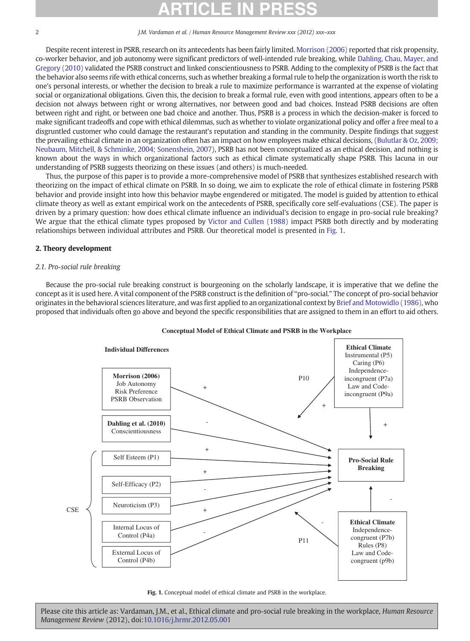### 2 J.M. Vardaman et al. / Human Resource Management Review xxx (2012) xxx–xxx

Despite recent interest in PSRB, research on its antecedents has been fairly limited. [Morrison \(2006\)](#page--1-0) reported that risk propensity, co-worker behavior, and job autonomy were significant predictors of well-intended rule breaking, while [Dahling, Chau, Mayer, and](#page--1-0) [Gregory \(2010\)](#page--1-0) validated the PSRB construct and linked conscientiousness to PSRB. Adding to the complexity of PSRB is the fact that the behavior also seems rife with ethical concerns, such as whether breaking a formal rule to help the organization is worth the risk to one's personal interests, or whether the decision to break a rule to maximize performance is warranted at the expense of violating social or organizational obligations. Given this, the decision to break a formal rule, even with good intentions, appears often to be a decision not always between right or wrong alternatives, nor between good and bad choices. Instead PSRB decisions are often between right and right, or between one bad choice and another. Thus, PSRB is a process in which the decision-maker is forced to make significant tradeoffs and cope with ethical dilemmas, such as whether to violate organizational policy and offer a free meal to a disgruntled customer who could damage the restaurant's reputation and standing in the community. Despite findings that suggest the prevailing ethical climate in an organization often has an impact on how employees make ethical decisions, ([Bulutlar & Oz, 2009;](#page--1-0) [Neubaum, Mitchell, & Schminke, 2004; Sonenshein, 2007](#page--1-0)), PSRB has not been conceptualized as an ethical decision, and nothing is known about the ways in which organizational factors such as ethical climate systematically shape PSRB. This lacuna in our understanding of PSRB suggests theorizing on these issues (and others) is much-needed.

Thus, the purpose of this paper is to provide a more-comprehensive model of PSRB that synthesizes established research with theorizing on the impact of ethical climate on PSRB. In so doing, we aim to explicate the role of ethical climate in fostering PSRB behavior and provide insight into how this behavior maybe engendered or mitigated. The model is guided by attention to ethical climate theory as well as extant empirical work on the antecedents of PSRB, specifically core self-evaluations (CSE). The paper is driven by a primary question: how does ethical climate influence an individual's decision to engage in pro-social rule breaking? We argue that the ethical climate types proposed by [Victor and Cullen \(1988\)](#page--1-0) impact PSRB both directly and by moderating relationships between individual attributes and PSRB. Our theoretical model is presented in Fig. 1.

### 2. Theory development

### 2.1. Pro-social rule breaking

Because the pro-social rule breaking construct is bourgeoning on the scholarly landscape, it is imperative that we define the concept as it is used here. A vital component of the PSRB construct is the definition of "pro-social." The concept of pro-social behavior originates in the behavioral sciences literature, and was first applied to an organizational context by [Brief and Motowidlo \(1986\)](#page--1-0), who proposed that individuals often go above and beyond the specific responsibilities that are assigned to them in an effort to aid others.





Fig. 1. Conceptual model of ethical climate and PSRB in the workplace.

Please cite this article as: Vardaman, J.M., et al., Ethical climate and pro-social rule breaking in the workplace, *Human Resource* Management Review (2012), doi[:10.1016/j.hrmr.2012.05.001](http://dx.doi.org/10.1016/j.hrmr.2012.05.001)